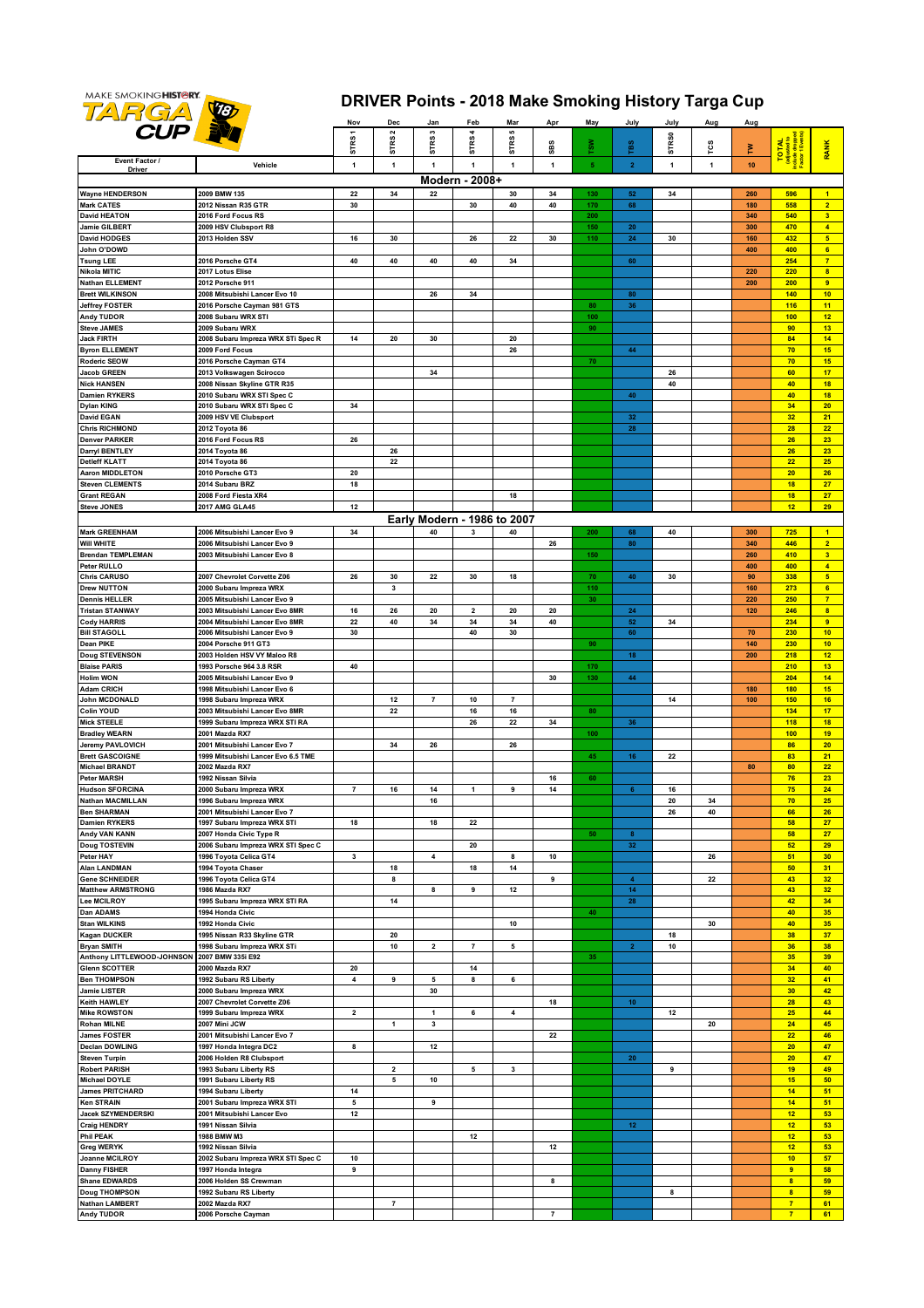

## **DRIVER Points - 2018 Make Smoking History Targa Cup**

|                                     |                                                         | Nov            | Dec                     | Jan                         | Feb            | Mar                     | Apr              | May        | July                    | July              | Aug          | Aug        |                                                     |                                           |
|-------------------------------------|---------------------------------------------------------|----------------|-------------------------|-----------------------------|----------------|-------------------------|------------------|------------|-------------------------|-------------------|--------------|------------|-----------------------------------------------------|-------------------------------------------|
| <b>CUP IV</b>                       |                                                         |                | STRS <sub>2</sub>       | STRS3                       | <b>STRS4</b>   | STRS5                   |                  |            |                         |                   |              |            | (adjusted to<br>Include dropped<br>Factor 1 Events) |                                           |
|                                     |                                                         | STRS1          |                         |                             |                |                         | SBS              | rsw        | <b>TBS</b>              | STR <sub>S0</sub> | rcs          | Ě          | <b>TOTAL</b>                                        | <b>RANK</b>                               |
| Event Factor /                      | Vehicle                                                 | $\mathbf{1}$   | $\mathbf{1}$            | $\mathbf{1}$                | $\mathbf{1}$   | $\mathbf{1}$            | $\mathbf{1}$     | $\sqrt{5}$ | $\overline{2}$          | $\mathbf{1}$      | $\mathbf{1}$ | 10         |                                                     |                                           |
| Driver                              |                                                         |                |                         |                             |                |                         |                  |            |                         |                   |              |            |                                                     |                                           |
|                                     |                                                         |                |                         |                             | Modern - 2008+ |                         |                  |            |                         |                   |              |            |                                                     |                                           |
| <b>Wayne HENDERSON</b>              | 2009 BMW 135                                            | 22             | 34                      | 22                          |                | 30                      | 34               | 130        | 52                      | 34                |              | 260        | 596                                                 | $\blacktriangleleft$                      |
| Mark CATES<br><b>David HEATON</b>   | 2012 Nissan R35 GTR<br>2016 Ford Focus RS               | 30             |                         |                             | 30             | 40                      | 40               | 170<br>200 | 68                      |                   |              | 180<br>340 | 558<br>540                                          | 2 <sup>7</sup><br>$\overline{\mathbf{3}}$ |
| Jamie GILBERT                       | 2009 HSV Clubsport R8                                   |                |                         |                             |                |                         |                  | 150        | 20                      |                   |              | 300        | 470                                                 | $\overline{4}$                            |
| David HODGES                        | 2013 Holden SSV                                         | 16             | 30                      |                             | 26             | 22                      | 30               | 110        | 24                      | 30                |              | 160        | 432                                                 | $\overline{\mathbf{5}}$                   |
| John O'DOWD                         |                                                         |                |                         |                             |                |                         |                  |            |                         |                   |              | 400        | 400                                                 | $6\phantom{a}$                            |
| <b>Tsung LEE</b>                    | 2016 Porsche GT4                                        | 40             | 40                      | 40                          | 40             | 34                      |                  |            | 60                      |                   |              |            | 254                                                 | $\overline{7}$                            |
| Nikola MITIC                        | 2017 Lotus Elise                                        |                |                         |                             |                |                         |                  |            |                         |                   |              | 220        | 220                                                 | $\overline{\mathbf{8}}$                   |
| Nathan ELLEMENT                     | 2012 Porsche 911                                        |                |                         |                             |                |                         |                  |            |                         |                   |              | 200        | 200                                                 | 9                                         |
| <b>Brett WILKINSON</b>              | 2008 Mitsubishi Lancer Evo 10                           |                |                         | 26                          | 34             |                         |                  |            | 80                      |                   |              |            | 140                                                 | 10                                        |
| <b>Jeffrey FOSTER</b><br>Andy TUDOR | 2016 Porsche Cayman 981 GTS<br>2008 Subaru WRX STI      |                |                         |                             |                |                         |                  | 80<br>100  | 36                      |                   |              |            | 116<br>100                                          | 11<br>12                                  |
| <b>Steve JAMES</b>                  | 2009 Subaru WRX                                         |                |                         |                             |                |                         |                  | 90         |                         |                   |              |            | 90                                                  | 13                                        |
| Jack FIRTH                          | 2008 Subaru Impreza WRX STi Spec R                      | 14             | 20                      | 30                          |                | 20                      |                  |            |                         |                   |              |            | 84                                                  | 14                                        |
| <b>Byron ELLEMENT</b>               | 2009 Ford Focus                                         |                |                         |                             |                | 26                      |                  |            | 44                      |                   |              |            | 70                                                  | 15                                        |
| Roderic SEOW                        | 2016 Porsche Cayman GT4                                 |                |                         |                             |                |                         |                  | 70         |                         |                   |              |            | 70                                                  | 15                                        |
| Jacob GREEN                         | 2013 Volkswagen Scirocco                                |                |                         | 34                          |                |                         |                  |            |                         | 26                |              |            | 60                                                  | 17                                        |
| <b>Nick HANSEN</b>                  | 2008 Nissan Skyline GTR R35                             |                |                         |                             |                |                         |                  |            |                         | 40                |              |            | 40                                                  | 18                                        |
| Damien RYKERS                       | 2010 Subaru WRX STI Spec C                              |                |                         |                             |                |                         |                  |            | 40                      |                   |              |            | 40                                                  | 18                                        |
| Dylan KING                          | 2010 Subaru WRX STI Spec C                              | 34             |                         |                             |                |                         |                  |            |                         |                   |              |            | 34                                                  | 20                                        |
| David EGAN<br><b>Chris RICHMOND</b> | 2009 HSV VE Clubsport                                   |                |                         |                             |                |                         |                  |            | 32                      |                   |              |            | 32<br>28                                            | 21<br>22                                  |
| <b>Denver PARKER</b>                | 2012 Toyota 86<br>2016 Ford Focus RS                    | 26             |                         |                             |                |                         |                  |            | 28                      |                   |              |            | 26                                                  | 23                                        |
| Darryl BENTLEY                      | 2014 Toyota 86                                          |                | 26                      |                             |                |                         |                  |            |                         |                   |              |            | 26                                                  | 23                                        |
| Detleff KLATT                       | 2014 Toyota 86                                          |                | 22                      |                             |                |                         |                  |            |                         |                   |              |            | 22                                                  | 25                                        |
| Aaron MIDDLETON                     | 2010 Porsche GT3                                        | 20             |                         |                             |                |                         |                  |            |                         |                   |              |            | 20                                                  | 26                                        |
| Steven CLEMENTS                     | 2014 Subaru BRZ                                         | 18             |                         |                             |                |                         |                  |            |                         |                   |              |            | 18                                                  | 27                                        |
| <b>Grant REGAN</b>                  | 2008 Ford Fiesta XR4                                    |                |                         |                             |                | 18                      |                  |            |                         |                   |              |            | 18                                                  | 27                                        |
| <b>Steve JONES</b>                  | 2017 AMG GLA45                                          | 12             |                         |                             |                |                         |                  |            |                         |                   |              |            | 12                                                  | 29                                        |
|                                     |                                                         |                |                         | Early Modern - 1986 to 2007 |                |                         |                  |            |                         |                   |              |            |                                                     |                                           |
| <b>Mark GREENHAM</b>                | 2006 Mitsubishi Lancer Evo 9                            | 34             |                         | 40                          | 3              | 40                      |                  | 200        | 68                      | 40                |              | 300        | 725                                                 | $\blacktriangleleft$                      |
| Will WHITE                          | 2006 Mitsubishi Lancer Evo 9                            |                |                         |                             |                |                         | 26               |            | 80                      |                   |              | 340        | 446                                                 | $\overline{2}$                            |
| <b>Brendan TEMPLEMAN</b>            | 2003 Mitsubishi Lancer Evo 8                            |                |                         |                             |                |                         |                  | 150        |                         |                   |              | 260        | 410                                                 | $\overline{\mathbf{3}}$                   |
| Peter RULLO                         |                                                         |                |                         |                             |                |                         |                  |            |                         |                   |              | 400        | 400                                                 | $\overline{4}$                            |
| Chris CARUSO<br>Drew NUTTON         | 2007 Chevrolet Corvette Z06<br>2000 Subaru Impreza WRX  | 26             | 30<br>3                 | 22                          | 30             | 18                      |                  | 70<br>110  | 40                      | 30                |              | 90<br>160  | 338<br>273                                          | $5\phantom{.0}$<br>$6\phantom{a}$         |
| <b>Dennis HELLER</b>                | 2005 Mitsubishi Lancer Evo 9                            |                |                         |                             |                |                         |                  | 30         |                         |                   |              | 220        | 250                                                 | $\overline{7}$                            |
| Tristan STANWAY                     | 2003 Mitsubishi Lancer Evo 8MR                          | 16             | 26                      | 20                          | $\mathbf{2}$   | 20                      | 20               |            | 24                      |                   |              | 120        | 246                                                 | $\overline{\mathbf{8}}$                   |
| Cody HARRIS                         | 2004 Mitsubishi Lancer Evo 8MR                          | 22             | 40                      | 34                          | 34             | 34                      | 40               |            | 52                      | 34                |              |            | 234                                                 | $\overline{9}$                            |
| <b>Bill STAGOLL</b>                 | 2006 Mitsubishi Lancer Evo 9                            | 30             |                         |                             | 40             | 30                      |                  |            | 60                      |                   |              | 70         | 230                                                 | 10 <sub>1</sub>                           |
| Dean PIKE                           | 2004 Porsche 911 GT3                                    |                |                         |                             |                |                         |                  | 90         |                         |                   |              | 140        | 230                                                 | 10                                        |
| <b>Doug STEVENSON</b>               | 2003 Holden HSV VY Maloo R8                             |                |                         |                             |                |                         |                  |            | 18                      |                   |              | 200        | 218                                                 | 12                                        |
| <b>Blaise PARIS</b>                 | 1993 Porsche 964 3.8 RSR                                | 40             |                         |                             |                |                         |                  | 170        |                         |                   |              |            | 210                                                 | 13                                        |
| Holim WON                           | 2005 Mitsubishi Lancer Evo 9                            |                |                         |                             |                |                         | 30               | 130        | 44                      |                   |              |            | 204                                                 | 14                                        |
| Adam CRICH<br>John MCDONALD         | 1998 Mitsubishi Lancer Evo 6<br>1998 Subaru Impreza WRX |                | 12                      | $\overline{7}$              | 10             | $\boldsymbol{7}$        |                  |            |                         | 14                |              | 180<br>100 | 180<br>150                                          | 15<br>16                                  |
| Colin YOUD                          | 2003 Mitsubishi Lancer Evo 8MR                          |                | 22                      |                             | 16             | ${\bf 16}$              |                  | 80         |                         |                   |              |            | 134                                                 | 17                                        |
| Mick STEELE                         | 1999 Subaru Impreza WRX STI RA                          |                |                         |                             | 26             | 22                      | 34               |            | 36                      |                   |              |            | 118                                                 | 18                                        |
| <b>Bradley WEARN</b>                | 2001 Mazda RX7                                          |                |                         |                             |                |                         |                  | 100        |                         |                   |              |            | 100                                                 | 19                                        |
| Jeremy PAVLOVICH                    | 2001 Mitsubishi Lancer Evo 7                            |                | 34                      | 26                          |                | 26                      |                  |            |                         |                   |              |            | 86                                                  | 20                                        |
| <b>Brett GASCOIGNE</b>              | 1999 Mitsubishi Lancer Evo 6.5 TME                      |                |                         |                             |                |                         |                  | 45         | 16                      | 22                |              |            | 83                                                  | 21                                        |
| <b>Michael BRANDT</b>               | 2002 Mazda RX7                                          |                |                         |                             |                |                         |                  |            |                         |                   |              | 80         | 80                                                  | 22                                        |
| Peter MARSH<br>Hudson SFORCINA      | 1992 Nissan Silvia<br>2000 Subaru Impreza WRX           | $\overline{7}$ | 16                      | 14                          |                | 9                       | 16<br>$14$       | 60         | 6 <sub>1</sub>          |                   |              |            | 76<br>75                                            | 23<br>24                                  |
| Nathan MACMILLAN                    | 1996 Subaru Impreza WRX                                 |                |                         | 16                          | $\mathbf{1}$   |                         |                  |            |                         | 16<br>20          | 34           |            | 70                                                  | 25                                        |
| <b>Ben SHARMAN</b>                  | 2001 Mitsubishi Lancer Evo 7                            |                |                         |                             |                |                         |                  |            |                         | 26                | 40           |            | 66                                                  | 26                                        |
| <b>Damien RYKERS</b>                | 1997 Subaru Impreza WRX STI                             | 18             |                         | 18                          | 22             |                         |                  |            |                         |                   |              |            | 58                                                  | 27                                        |
| Andy VAN KANN                       | 2007 Honda Civic Type R                                 |                |                         |                             |                |                         |                  | 50         | 8                       |                   |              |            | 58                                                  | 27                                        |
| Doug TOSTEVIN                       | 2006 Subaru Impreza WRX STI Spec C                      |                |                         |                             | 20             |                         |                  |            | 32                      |                   |              |            | 52                                                  | 29                                        |
| Peter HAY                           | 1996 Toyota Celica GT4                                  | 3              |                         | 4                           |                | 8                       | 10               |            |                         |                   | 26           |            | 51                                                  | 30                                        |
| Alan LANDMAN                        | 1994 Toyota Chaser                                      |                | 18                      |                             | 18             | 14                      |                  |            |                         |                   |              |            | 50                                                  | 31                                        |
| <b>Gene SCHNEIDER</b>               | 1996 Toyota Celica GT4<br>1986 Mazda RX7                |                | 8                       |                             |                |                         | $\boldsymbol{9}$ |            | $\overline{\mathbf{4}}$ |                   | 22           |            | 43                                                  | 32                                        |
| Matthew ARMSTRONG<br>Lee MCILROY    | 1995 Subaru Impreza WRX STI RA                          |                | 14                      | 8                           | 9              | 12                      |                  |            | 14<br>28                |                   |              |            | 43<br>42                                            | 32<br>34                                  |
| Dan ADAMS                           | 1994 Honda Civic                                        |                |                         |                             |                |                         |                  | 40         |                         |                   |              |            | 40                                                  | 35                                        |
| Stan WILKINS                        | 1992 Honda Civic                                        |                |                         |                             |                | 10                      |                  |            |                         |                   | 30           |            | 40                                                  | 35                                        |
| <b>Kagan DUCKER</b>                 | 1995 Nissan R33 Skyline GTR                             |                | 20                      |                             |                |                         |                  |            |                         | 18                |              |            | 38                                                  | 37                                        |
| <b>Bryan SMITH</b>                  | 1998 Subaru Impreza WRX STi                             |                | ${\bf 10}$              | $\overline{\mathbf{2}}$     | $\overline{7}$ | 5                       |                  |            | $\mathbf{2}$            | 10                |              |            | 36                                                  | 38                                        |
| Anthony LITTLEWOOD-JOHNSON          | 2007 BMW 335i E92                                       |                |                         |                             |                |                         |                  | 35         |                         |                   |              |            | 35                                                  | 39                                        |
| Glenn SCOTTER                       | 2000 Mazda RX7                                          | 20             |                         |                             | 14             |                         |                  |            |                         |                   |              |            | 34                                                  | 40                                        |
| <b>Ben THOMPSON</b>                 | 1992 Subaru RS Liberty                                  | 4              | 9                       | 5                           | 8              | 6                       |                  |            |                         |                   |              |            | 32                                                  | 41                                        |
| Jamie LISTER                        | 2000 Subaru Impreza WRX                                 |                |                         | 30                          |                |                         |                  |            |                         |                   |              |            | 30                                                  | 42                                        |
| Keith HAWLEY<br>Mike ROWSTON        | 2007 Chevrolet Corvette Z06<br>1999 Subaru Impreza WRX  | $\mathbf{2}$   |                         | $\mathbf{1}$                | 6              | $\overline{\mathbf{4}}$ | 18               |            | 10 <sub>1</sub>         | $12\,$            |              |            | 28<br>25                                            | 43<br>44                                  |
| Rohan MILNE                         | 2007 Mini JCW                                           |                | $\mathbf{1}$            | 3                           |                |                         |                  |            |                         |                   | 20           |            | 24                                                  | 45                                        |
| <b>James FOSTER</b>                 | 2001 Mitsubishi Lancer Evo 7                            |                |                         |                             |                |                         | 22               |            |                         |                   |              |            | 22                                                  | 46                                        |
| <b>Declan DOWLING</b>               | 1997 Honda Integra DC2                                  | 8              |                         | $12\,$                      |                |                         |                  |            |                         |                   |              |            | 20                                                  | 47                                        |
| <b>Steven Turpin</b>                | 2006 Holden R8 Clubsport                                |                |                         |                             |                |                         |                  |            | 20                      |                   |              |            | 20                                                  | 47                                        |
| <b>Robert PARISH</b>                | 1993 Subaru Liberty RS                                  |                | $\overline{\mathbf{2}}$ |                             | 5              | 3                       |                  |            |                         | 9                 |              |            | 19                                                  | 49                                        |
| Michael DOYLE                       | 1991 Subaru Liberty RS                                  |                | 5                       | 10                          |                |                         |                  |            |                         |                   |              |            | 15                                                  | 50                                        |
| <b>James PRITCHARD</b>              | 1994 Subaru Liberty                                     | 14             |                         |                             |                |                         |                  |            |                         |                   |              |            | 14                                                  | 51                                        |
| <b>Ken STRAIN</b>                   | 2001 Subaru Impreza WRX STI                             | 5              |                         | 9                           |                |                         |                  |            |                         |                   |              |            | 14                                                  | 51                                        |
| Jacek SZYMENDERSKI                  | 2001 Mitsubishi Lancer Evo                              | 12             |                         |                             |                |                         |                  |            |                         |                   |              |            | 12                                                  | 53                                        |
| Craig HENDRY<br>Phil PEAK           | 1991 Nissan Silvia<br>1988 BMW M3                       |                |                         |                             | 12             |                         |                  |            | $12 \overline{ }$       |                   |              |            | 12<br>12                                            | 53<br>53                                  |
| <b>Greg WERYK</b>                   | 1992 Nissan Silvia                                      |                |                         |                             |                |                         | 12               |            |                         |                   |              |            | 12                                                  | 53                                        |
| Joanne MCILROY                      | 2002 Subaru Impreza WRX STI Spec C                      | $10\,$         |                         |                             |                |                         |                  |            |                         |                   |              |            | 10                                                  | 57                                        |
| Danny FISHER                        | 1997 Honda Integra                                      | 9              |                         |                             |                |                         |                  |            |                         |                   |              |            | $\overline{9}$                                      | 58                                        |
| Shane EDWARDS                       | 2006 Holden SS Crewman                                  |                |                         |                             |                |                         | 8                |            |                         |                   |              |            | $\overline{\mathbf{8}}$                             | 59                                        |
| Doug THOMPSON                       | 1992 Subaru RS Liberty                                  |                |                         |                             |                |                         |                  |            |                         | 8                 |              |            | $\overline{\mathbf{8}}$                             | 59                                        |
| Nathan LAMBERT                      | 2002 Mazda RX7                                          |                | $\overline{7}$          |                             |                |                         |                  |            |                         |                   |              |            | $\overline{7}$                                      | 61                                        |
| Andy TUDOR                          | 2006 Porsche Cayman                                     |                |                         |                             |                |                         | $\overline{7}$   |            |                         |                   |              |            | $\overline{7}$                                      | 61                                        |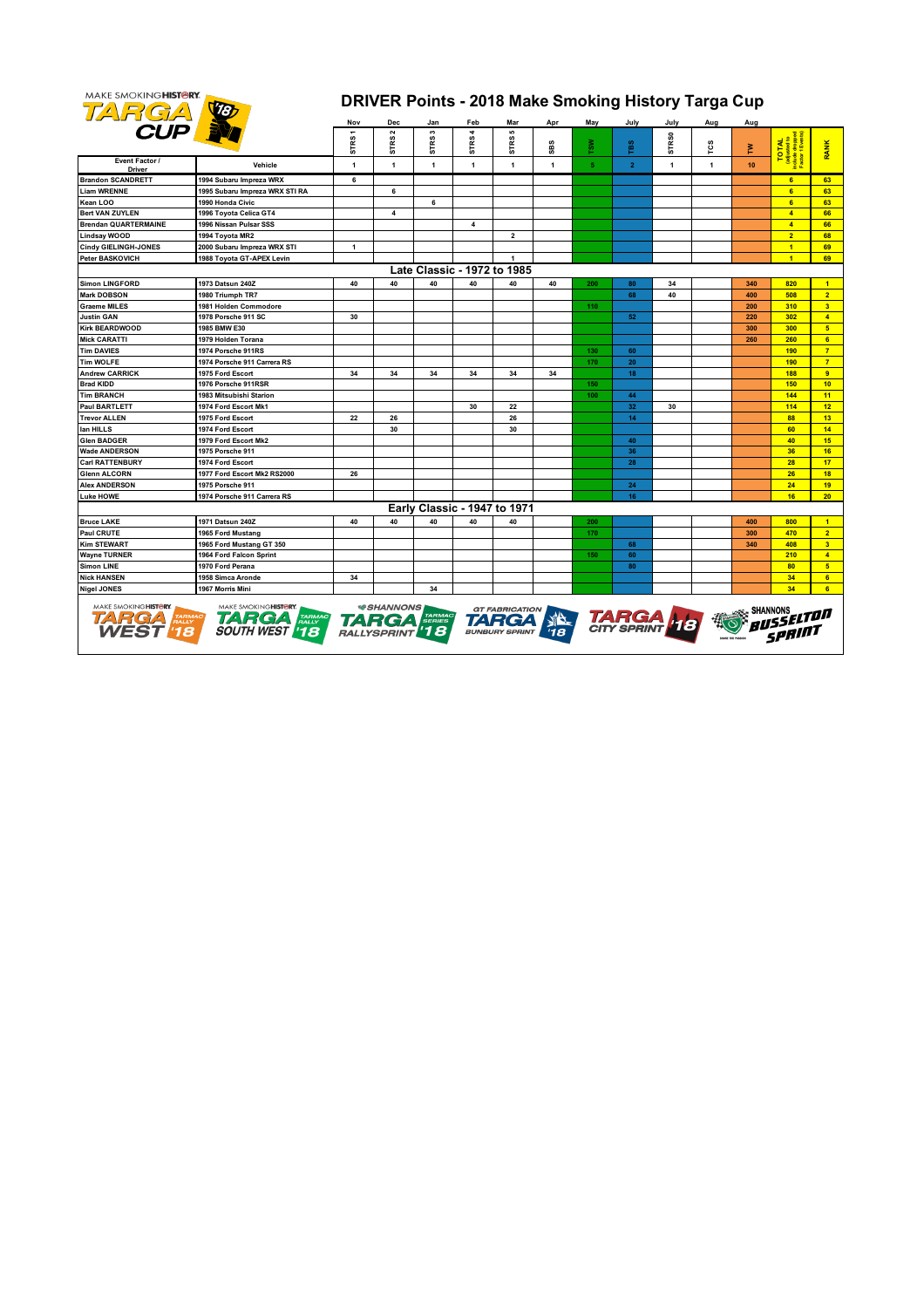

## **DRIVER Points - 2018 Make Smoking History Targa Cup**

|                                            |                                                                              | Nov          | Dec                                    | Jan                          | Feb          | Mar                                     | Apr          | May            | July                        | July              | Aug          | Aug |                |                  |
|--------------------------------------------|------------------------------------------------------------------------------|--------------|----------------------------------------|------------------------------|--------------|-----------------------------------------|--------------|----------------|-----------------------------|-------------------|--------------|-----|----------------|------------------|
| <b>CUP</b>                                 |                                                                              | 5<br>STR:    | STRS <sub>2</sub>                      | s<br>STRS:                   | STRS4        | 5<br>STRS!                              | SBS          | TSW            | TBS                         | STR <sub>S0</sub> | rcs          | 혼   | TAL<br>stes    | <b>RANK</b>      |
| Event Factor /<br><b>Driver</b>            | Vehicle                                                                      | 1            | $\mathbf{1}$                           | $\mathbf{1}$                 | $\mathbf{1}$ | $\mathbf{1}$                            | $\mathbf{1}$ | 5 <sub>1</sub> | $\mathbf{2}$                | $\mathbf{1}$      | $\mathbf{1}$ | 10  | ġ              |                  |
| <b>Brandon SCANDRETT</b>                   | 1994 Subaru Impreza WRX                                                      | 6            |                                        |                              |              |                                         |              |                |                             |                   |              |     | 6              | 63               |
| <b>Liam WRENNE</b>                         | 1995 Subaru Impreza WRX STI RA                                               |              | 6                                      |                              |              |                                         |              |                |                             |                   |              |     | 6              | 63               |
| Kean LOO                                   | 1990 Honda Civic                                                             |              |                                        | 6                            |              |                                         |              |                |                             |                   |              |     | 6              | 63               |
| <b>Bert VAN ZUYLEN</b>                     | 1996 Toyota Celica GT4                                                       |              | $\overline{\mathbf{A}}$                |                              |              |                                         |              |                |                             |                   |              |     | $\overline{4}$ | 66               |
| <b>Brendan QUARTERMAINE</b>                | 1996 Nissan Pulsar SSS                                                       |              |                                        |                              | 4            |                                         |              |                |                             |                   |              |     | $\overline{4}$ | 66               |
| <b>Lindsay WOOD</b>                        | 1994 Toyota MR2                                                              |              |                                        |                              |              | $\overline{\mathbf{2}}$                 |              |                |                             |                   |              |     | $\overline{2}$ | 68               |
| <b>Cindy GIELINGH-JONES</b>                | 2000 Subaru Impreza WRX STI                                                  | $\mathbf{1}$ |                                        |                              |              |                                         |              |                |                             |                   |              |     | $\overline{1}$ | 69               |
| Peter BASKOVICH                            | 1988 Toyota GT-APEX Levin                                                    |              |                                        |                              |              | $\mathbf{1}$                            |              |                |                             |                   |              |     | 4              | 69               |
|                                            |                                                                              |              |                                        | Late Classic - 1972 to 1985  |              |                                         |              |                |                             |                   |              |     |                |                  |
| <b>Simon LINGFORD</b>                      | 1973 Datsun 240Z                                                             | 40           | 40                                     | 40                           | 40           | 40                                      | 40           | 200            | 80                          | 34                |              | 340 | 820            | $\blacksquare$   |
| <b>Mark DOBSON</b>                         | 1980 Triumph TR7                                                             |              |                                        |                              |              |                                         |              |                | 68                          | 40                |              | 400 | 508            | 2 <sup>1</sup>   |
| <b>Graeme MILES</b>                        | 1981 Holden Commodore                                                        |              |                                        |                              |              |                                         |              | 110            |                             |                   |              | 200 | 310            | 3 <sup>2</sup>   |
| <b>Justin GAN</b>                          | 1978 Porsche 911 SC                                                          | 30           |                                        |                              |              |                                         |              |                | 52                          |                   |              | 220 | 302            | $\overline{4}$   |
| <b>Kirk BEARDWOOD</b>                      | 1985 BMW E30                                                                 |              |                                        |                              |              |                                         |              |                |                             |                   |              | 300 | 300            | 5 <sup>1</sup>   |
| <b>Mick CARATTI</b>                        | 1979 Holden Torana                                                           |              |                                        |                              |              |                                         |              |                |                             |                   |              | 260 | 260            | 6                |
| <b>Tim DAVIES</b>                          | 1974 Porsche 911RS                                                           |              |                                        |                              |              |                                         |              | 130            | 60                          |                   |              |     | 190            | $\overline{7}$   |
| <b>Tim WOLFE</b>                           | 1974 Porsche 911 Carrera RS                                                  |              |                                        |                              |              |                                         |              | 170            | 20                          |                   |              |     | 190            | 7 <sup>7</sup>   |
| <b>Andrew CARRICK</b>                      | 1975 Ford Escort                                                             | 34           | 34                                     | 34                           | 34           | 34                                      | 34           |                | 18                          |                   |              |     | 188            | 9                |
| <b>Brad KIDD</b>                           | 1976 Porsche 911RSR                                                          |              |                                        |                              |              |                                         |              | 150            |                             |                   |              |     | 150            | 10 <sup>°</sup>  |
| <b>Tim BRANCH</b>                          | 1983 Mitsubishi Starion                                                      |              |                                        |                              |              |                                         |              | 100            | 44                          |                   |              |     | 144            | 11               |
| <b>Paul BARTLETT</b>                       | 1974 Ford Escort Mk1                                                         |              |                                        |                              | 30           | 22                                      |              |                | 32                          | 30                |              |     | 114            | 12 <sup>2</sup>  |
| <b>Trevor ALLEN</b>                        | 1975 Ford Escort                                                             | 22           | 26                                     |                              |              | 26                                      |              |                | 14                          |                   |              |     | 88             | 13               |
| lan HILLS                                  | 1974 Ford Escort                                                             |              | 30                                     |                              |              | 30                                      |              |                |                             |                   |              |     | 60             | 14               |
| <b>Glen BADGER</b>                         | 1979 Ford Escort Mk2                                                         |              |                                        |                              |              |                                         |              |                | 40                          |                   |              |     | 40             | 15 <sub>15</sub> |
| <b>Wade ANDERSON</b>                       | 1975 Porsche 911                                                             |              |                                        |                              |              |                                         |              |                | 36                          |                   |              |     | 36             | 16               |
| <b>Carl RATTENBURY</b>                     | 1974 Ford Escort                                                             |              |                                        |                              |              |                                         |              |                | 28                          |                   |              |     | 28             | 17               |
| <b>Glenn ALCORN</b>                        | 1977 Ford Escort Mk2 RS2000                                                  | 26           |                                        |                              |              |                                         |              |                |                             |                   |              |     | 26             | 18               |
| <b>Alex ANDERSON</b>                       | 1975 Porsche 911                                                             |              |                                        |                              |              |                                         |              |                | 24                          |                   |              |     | 24             | 19 <sup>°</sup>  |
| <b>Luke HOWE</b>                           | 1974 Porsche 911 Carrera RS                                                  |              |                                        |                              |              |                                         |              |                | 16                          |                   |              |     | 16             | 20 <sub>2</sub>  |
|                                            |                                                                              |              |                                        | Early Classic - 1947 to 1971 |              |                                         |              |                |                             |                   |              |     |                |                  |
| <b>Bruce LAKE</b>                          | 1971 Datsun 240Z                                                             | 40           | 40                                     | 40                           | 40           | 40                                      |              | 200            |                             |                   |              | 400 | 800            | $\overline{1}$   |
| Paul CRUTE                                 | 1965 Ford Mustang                                                            |              |                                        |                              |              |                                         |              | 170            |                             |                   |              | 300 | 470            | 2 <sup>1</sup>   |
| <b>Kim STEWART</b>                         | 1965 Ford Mustang GT 350                                                     |              |                                        |                              |              |                                         |              |                | 68                          |                   |              | 340 | 408            | 3 <sup>2</sup>   |
| <b>Wayne TURNER</b>                        | 1964 Ford Falcon Sprint                                                      |              |                                        |                              |              |                                         |              | 150            | 60                          |                   |              |     | 210            | $\overline{4}$   |
| <b>Simon LINE</b>                          | 1970 Ford Perana                                                             |              |                                        |                              |              |                                         |              |                | 80                          |                   |              |     | 80             | 5 <sub>1</sub>   |
| <b>Nick HANSEN</b>                         | 1958 Simca Aronde                                                            | 34           |                                        |                              |              |                                         |              |                |                             |                   |              |     | 34             | 6 <sup>1</sup>   |
| <b>Nigel JONES</b>                         | 1967 Morris Mini                                                             |              |                                        | 34                           |              |                                         |              |                |                             |                   |              |     | 34             | 6 <sup>1</sup>   |
| MAKE SMOKING HISTORY.<br><b>TARGA FARM</b> | MAKE SMOKINGHISTORY.<br>TARMAC<br><b>HALLY</b><br><b>TARGA</b><br>SOUTH WEST | <b>TA</b>    | <b>*SHANNONS</b><br>201<br>RALLYSPRINT | <b>TARMAC</b><br>SERIES      |              | GT FABRICATION<br><b>BUNBURY SPRINT</b> |              |                | <b>TARGA</b><br>CITY SPRINT |                   |              |     |                |                  |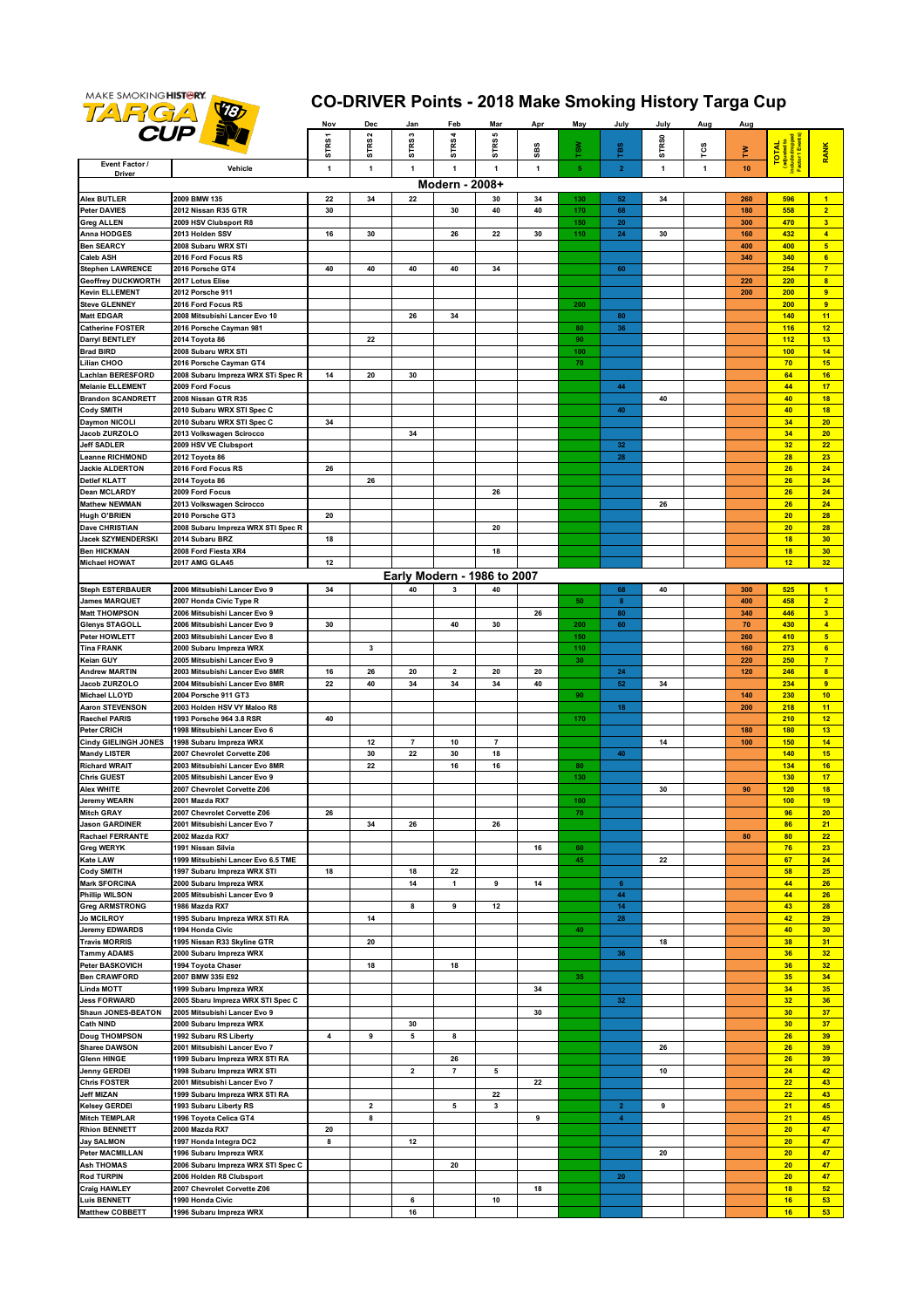

## **CO-DRIVER Points - 2018 Make Smoking History Targa Cup**

|                                              |                                                                | Nov                     | Dec                          | Jan                     | Feb            | Mar                         | Apr          | May | July              | July              | Aug          | Aug        |                          |                                           |
|----------------------------------------------|----------------------------------------------------------------|-------------------------|------------------------------|-------------------------|----------------|-----------------------------|--------------|-----|-------------------|-------------------|--------------|------------|--------------------------|-------------------------------------------|
|                                              | <b>CUP</b>                                                     |                         | STRS2                        | STRS <sub>3</sub>       | <b>STRS4</b>   | 5                           |              |     |                   |                   |              |            |                          |                                           |
|                                              |                                                                | STRS1                   |                              |                         |                | STRS                        | SBS          | ₹,  | ras               | STR <sub>S0</sub> | rcs          | Σ          | <b>TOTAL</b>             | <b>RANK</b>                               |
| Event Factor /<br>Driver                     | Vehicle                                                        | $\mathbf{1}$            | $\mathbf{1}$                 | 1                       | $\mathbf{1}$   | $\mathbf{1}$                | $\mathbf{1}$ | 5   | $\mathbf{2}$      | $\mathbf{1}$      | $\mathbf{1}$ | 10         | Include dr<br>Factor 1 E |                                           |
|                                              |                                                                |                         |                              |                         | Modern - 2008+ |                             |              |     |                   |                   |              |            |                          |                                           |
| <b>Alex BUTLER</b>                           | 2009 BMW 135                                                   | 22                      | 34                           | 22                      |                | 30                          | 34           | 130 | 52                | 34                |              | 260        | 596                      | $\blacksquare$                            |
| <b>Peter DAVIES</b>                          | 2012 Nissan R35 GTR                                            | 30                      |                              |                         | 30             | 40                          | 40           | 170 | 68                |                   |              | 180        | 558                      | $\overline{2}$                            |
| <b>Greg ALLEN</b>                            | 2009 HSV Clubsport R8                                          |                         |                              |                         |                |                             |              | 150 | 20                |                   |              | 300        | 470                      | 3 <sup>2</sup>                            |
| <b>Anna HODGES</b>                           | 2013 Holden SSV                                                | 16                      | 30                           |                         | 26             | 22                          | 30           | 110 | ${\bf 24}$        | 30                |              | 160        | 432                      | $\overline{4}$                            |
| <b>Ben SEARCY</b>                            | 2008 Subaru WRX STI                                            |                         |                              |                         |                |                             |              |     |                   |                   |              | 400        | 400                      | 5 <sub>5</sub>                            |
| <b>Caleb ASH</b>                             | 2016 Ford Focus RS                                             |                         |                              |                         |                |                             |              |     |                   |                   |              | 340        | 340                      | 6 <sup>1</sup>                            |
| <b>Stephen LAWRENCE</b>                      | 2016 Porsche GT4                                               | 40                      | 40                           | 40                      | 40             | 34                          |              |     | 60                |                   |              |            | 254                      | 7 <sup>2</sup>                            |
| <b>Geoffrey DUCKWORTH</b>                    | 2017 Lotus Elise                                               |                         |                              |                         |                |                             |              |     |                   |                   |              | 220        | 220                      | 8                                         |
| <b>Kevin ELLEMENT</b>                        | 2012 Porsche 911                                               |                         |                              |                         |                |                             |              |     |                   |                   |              | 200        | 200                      | $\overline{9}$<br>$\overline{9}$          |
| <b>Steve GLENNEY</b><br><b>Matt EDGAR</b>    | 2016 Ford Focus RS<br>2008 Mitsubishi Lancer Evo 10            |                         |                              | 26                      | 34             |                             |              | 200 | ${\bf 80}$        |                   |              |            | 200<br>140               | 11                                        |
| <b>Catherine FOSTER</b>                      | 2016 Porsche Cayman 981                                        |                         |                              |                         |                |                             |              | 80  | 36                |                   |              |            | 116                      | 12 <sub>2</sub>                           |
| <b>Darryl BENTLEY</b>                        | 2014 Toyota 86                                                 |                         | 22                           |                         |                |                             |              | 90  |                   |                   |              |            | 112                      | 13                                        |
| <b>Brad BIRD</b>                             | 2008 Subaru WRX STI                                            |                         |                              |                         |                |                             |              | 100 |                   |                   |              |            | 100                      | 14                                        |
| <b>Lilian CHOO</b>                           | 2016 Porsche Cayman GT4                                        |                         |                              |                         |                |                             |              | 70  |                   |                   |              |            | 70                       | 15                                        |
| <b>Lachlan BERESFORD</b>                     | 2008 Subaru Impreza WRX STi Spec R                             | 14                      | 20                           | 30                      |                |                             |              |     |                   |                   |              |            | 64                       | 16                                        |
| <b>Melanie ELLEMENT</b>                      | 2009 Ford Focus                                                |                         |                              |                         |                |                             |              |     | 44                |                   |              |            | 44                       | 17                                        |
| <b>Brandon SCANDRETT</b>                     | 2008 Nissan GTR R35                                            |                         |                              |                         |                |                             |              |     |                   | 40                |              |            | 40                       | 18                                        |
| <b>Cody SMITH</b>                            | 2010 Subaru WRX STI Spec C                                     |                         |                              |                         |                |                             |              |     | 40                |                   |              |            | 40                       | 18                                        |
| <b>Daymon NICOLI</b>                         | 2010 Subaru WRX STI Spec C                                     | 34                      |                              |                         |                |                             |              |     |                   |                   |              |            | 34                       | 20                                        |
| <b>Jacob ZURZOLO</b>                         | 2013 Volkswagen Scirocco                                       |                         |                              | 34                      |                |                             |              |     |                   |                   |              |            | 34                       | 20                                        |
| <b>Jeff SADLER</b><br>Leanne RICHMOND        | 2009 HSV VE Clubsport                                          |                         |                              |                         |                |                             |              |     | 32                |                   |              |            | 32                       | 22                                        |
| <b>Jackie ALDERTON</b>                       | 2012 Toyota 86<br>2016 Ford Focus RS                           | 26                      |                              |                         |                |                             |              |     | 28                |                   |              |            | 28<br>26                 | 23<br>24                                  |
| <b>Detlef KLATT</b>                          | 2014 Toyota 86                                                 |                         | 26                           |                         |                |                             |              |     |                   |                   |              |            | 26                       | 24                                        |
| <b>Dean MCLARDY</b>                          | 2009 Ford Focus                                                |                         |                              |                         |                | 26                          |              |     |                   |                   |              |            | 26                       | 24                                        |
| <b>Mathew NEWMAN</b>                         | 2013 Volkswagen Scirocco                                       |                         |                              |                         |                |                             |              |     |                   | 26                |              |            | 26                       | 24                                        |
| <b>Hugh O'BRIEN</b>                          | 2010 Porsche GT3                                               | 20                      |                              |                         |                |                             |              |     |                   |                   |              |            | 20                       | 28                                        |
| <b>Dave CHRISTIAN</b>                        | 2008 Subaru Impreza WRX STI Spec R                             |                         |                              |                         |                | 20                          |              |     |                   |                   |              |            | 20                       | 28                                        |
| Jacek SZYMENDERSKI                           | 2014 Subaru BRZ                                                | 18                      |                              |                         |                |                             |              |     |                   |                   |              |            | 18                       | 30                                        |
| <b>Ben HICKMAN</b>                           | 2008 Ford Fiesta XR4                                           |                         |                              |                         |                | 18                          |              |     |                   |                   |              |            | 18                       | 30 <sub>2</sub>                           |
| <b>Michael HOWAT</b>                         | 2017 AMG GLA45                                                 | 12                      |                              |                         |                |                             |              |     |                   |                   |              |            | 12                       | 32                                        |
|                                              |                                                                |                         |                              |                         |                | Early Modern - 1986 to 2007 |              |     |                   |                   |              |            |                          |                                           |
| <b>Steph ESTERBAUER</b>                      | 2006 Mitsubishi Lancer Evo 9                                   | 34                      |                              | 40                      | 3              | 40                          |              |     | 68                | 40                |              | 300        | 525                      | $\mathbf{1}$                              |
| <b>James MARQUET</b>                         | 2007 Honda Civic Type R                                        |                         |                              |                         |                |                             |              | 50  | 8                 |                   |              | 400        | 458                      | $\overline{2}$                            |
| <b>Matt THOMPSON</b>                         | 2006 Mitsubishi Lancer Evo 9                                   |                         |                              |                         |                |                             | 26           |     | 80                |                   |              | 340        | 446                      | 3 <sup>2</sup>                            |
| Glenys STAGOLL                               | 2006 Mitsubishi Lancer Evo 9                                   | 30                      |                              |                         | 40             | 30                          |              | 200 | 60                |                   |              | 70         | 430                      | $\overline{4}$                            |
| Peter HOWLETT                                | 2003 Mitsubishi Lancer Evo 8                                   |                         |                              |                         |                |                             |              | 150 |                   |                   |              | 260        | 410                      | 5 <sub>5</sub>                            |
| <b>Tina FRANK</b>                            | 2000 Subaru Impreza WRX                                        |                         | 3                            |                         |                |                             |              | 110 |                   |                   |              | 160        | 273                      | 6                                         |
| Keian GUY<br><b>Andrew MARTIN</b>            | 2005 Mitsubishi Lancer Evo 9<br>2003 Mitsubishi Lancer Evo 8MR | 16                      | 26                           | 20                      | 2              | 20                          | 20           | 30  | 24                |                   |              | 220<br>120 | 250<br>246               | 7 <sup>7</sup><br>$\overline{\mathbf{8}}$ |
| Jacob ZURZOLO                                | 2004 Mitsubishi Lancer Evo 8MR                                 | 22                      | 40                           | 34                      | 34             | 34                          | 40           |     | 52                | 34                |              |            | 234                      | 9                                         |
| <b>Michael LLOYD</b>                         | 2004 Porsche 911 GT3                                           |                         |                              |                         |                |                             |              | 90  |                   |                   |              | 140        | 230                      | 10                                        |
| <b>Aaron STEVENSON</b>                       | 2003 Holden HSV VY Maloo R8                                    |                         |                              |                         |                |                             |              |     | 18                |                   |              | 200        | 218                      | 11                                        |
| <b>Raechel PARIS</b>                         | 1993 Porsche 964 3.8 RSR                                       | 40                      |                              |                         |                |                             |              | 170 |                   |                   |              |            | 210                      | 12 <sup>2</sup>                           |
| <b>Peter CRICH</b>                           | 1998 Mitsubishi Lancer Evo 6                                   |                         |                              |                         |                |                             |              |     |                   |                   |              | 180        | 180                      | 13                                        |
| <b>Cindy GIELINGH JONES</b>                  | 1998 Subaru Impreza WRX                                        |                         | 12                           | $\overline{7}$          | 10             | $\overline{7}$              |              |     |                   | 14                |              | 100        | 150                      | 14                                        |
| <b>Mandy LISTER</b>                          | 2007 Chevrolet Corvette Z06                                    |                         | 30                           | 22                      | 30             | 18                          |              |     | 40                |                   |              |            | 140                      | 15                                        |
| <b>Richard WRAIT</b>                         | 2003 Mitsubishi Lancer Evo 8MR                                 |                         | 22                           |                         | 16             | 16                          |              | 80  |                   |                   |              |            | 134                      | 16                                        |
| <b>Chris GUEST</b>                           | 2005 Mitsubishi Lancer Evo 9                                   |                         |                              |                         |                |                             |              | 130 |                   |                   |              |            | 130                      | 17                                        |
| <b>Alex WHITE</b>                            | 2007 Chevrolet Corvette Z06                                    |                         |                              |                         |                |                             |              |     |                   | 30                |              | 90         | 120                      | 18                                        |
| Jeremy WEARN<br><b>Mitch GRAY</b>            | 2001 Mazda RX7                                                 |                         |                              |                         |                |                             |              | 100 |                   |                   |              |            | 100<br>96                | 19<br>20 <sub>2</sub>                     |
| <b>Jason GARDINER</b>                        | 2007 Chevrolet Corvette Z06<br>2001 Mitsubishi Lancer Evo 7    | 26                      | 34                           | 26                      |                | 26                          |              | 70  |                   |                   |              |            | 86                       | 21                                        |
| <b>Rachael FERRANTE</b>                      | 2002 Mazda RX7                                                 |                         |                              |                         |                |                             |              |     |                   |                   |              | 80         | 80                       | 22                                        |
| <b>Greg WERYK</b>                            | 1991 Nissan Silvia                                             |                         |                              |                         |                |                             | 16           | 60  |                   |                   |              |            | 76                       | 23                                        |
| <b>Kate LAW</b>                              | 1999 Mitsubishi Lancer Evo 6.5 TME                             |                         |                              |                         |                |                             |              | 45  |                   | 22                |              |            | 67                       | 24                                        |
| <b>Cody SMITH</b>                            | 1997 Subaru Impreza WRX STI                                    | 18                      |                              | 18                      | 22             |                             |              |     |                   |                   |              |            | 58                       | 25                                        |
| <b>Mark SFORCINA</b>                         | 2000 Subaru Impreza WRX                                        |                         |                              | 14                      | 1              | 9                           | 14           |     | 6 <sub>6</sub>    |                   |              |            | 44                       | 26                                        |
| <b>Phillip WILSON</b>                        | 2005 Mitsubishi Lancer Evo 9                                   |                         |                              |                         |                |                             |              |     | 44                |                   |              |            | 44                       | 26                                        |
| <b>Greg ARMSTRONG</b>                        | 1986 Mazda RX7                                                 |                         |                              | 8                       | 9              | 12                          |              |     | 14                |                   |              |            | 43                       | 28                                        |
| <b>Jo MCILROY</b>                            | 1995 Subaru Impreza WRX STI RA                                 |                         | 14                           |                         |                |                             |              |     | 28                |                   |              |            | 42                       | 29                                        |
| <b>Jeremy EDWARDS</b>                        | 1994 Honda Civic                                               |                         |                              |                         |                |                             |              | 40  |                   |                   |              |            | 40                       | 30 <sub>2</sub>                           |
| <b>Travis MORRIS</b>                         | 1995 Nissan R33 Skyline GTR                                    |                         | 20                           |                         |                |                             |              |     |                   | 18                |              |            | 38                       | 31                                        |
| <b>Tammy ADAMS</b><br><b>Peter BASKOVICH</b> | 2000 Subaru Impreza WRX<br>1994 Toyota Chaser                  |                         | 18                           |                         | 18             |                             |              |     | 36                |                   |              |            | 36<br>36                 | 32<br>32                                  |
| <b>Ben CRAWFORD</b>                          | 2007 BMW 335i E92                                              |                         |                              |                         |                |                             |              | 35  |                   |                   |              |            | 35                       | 34                                        |
| <b>Linda MOTT</b>                            | 1999 Subaru Impreza WRX                                        |                         |                              |                         |                |                             | 34           |     |                   |                   |              |            | 34                       | 35 <sub>2</sub>                           |
| <b>Jess FORWARD</b>                          | 2005 Sbaru Impreza WRX STI Spec C                              |                         |                              |                         |                |                             |              |     | 32                |                   |              |            | 32                       | 36                                        |
| Shaun JONES-BEATON                           | 2005 Mitsubishi Lancer Evo 9                                   |                         |                              |                         |                |                             | 30           |     |                   |                   |              |            | 30                       | 37                                        |
| <b>Cath NIND</b>                             | 2000 Subaru Impreza WRX                                        |                         |                              | 30                      |                |                             |              |     |                   |                   |              |            | 30                       | 37                                        |
| <b>Doug THOMPSON</b>                         | 1992 Subaru RS Liberty                                         | $\overline{\mathbf{4}}$ | 9                            | 5                       | 8              |                             |              |     |                   |                   |              |            | 26                       | 39                                        |
| <b>Sharee DAWSON</b>                         | 2001 Mitsubishi Lancer Evo 7                                   |                         |                              |                         |                |                             |              |     |                   | 26                |              |            | 26                       | 39                                        |
| <b>Glenn HINGE</b>                           | 1999 Subaru Impreza WRX STI RA                                 |                         |                              |                         | 26             |                             |              |     |                   |                   |              |            | 26                       | 39 <sup>°</sup>                           |
| Jenny GERDEI                                 | 1998 Subaru Impreza WRX STI                                    |                         |                              | $\overline{\mathbf{2}}$ | 7              | 5                           |              |     |                   | 10                |              |            | 24                       | 42                                        |
| <b>Chris FOSTER</b>                          | 2001 Mitsubishi Lancer Evo 7                                   |                         |                              |                         |                |                             | 22           |     |                   |                   |              |            | 22                       | 43                                        |
| <b>Jeff MIZAN</b>                            | 1999 Subaru Impreza WRX STI RA                                 |                         |                              |                         |                | 22<br>3                     |              |     |                   |                   |              |            | 22                       | 43<br>45                                  |
| <b>Kelsey GERDEI</b><br><b>Mitch TEMPLAR</b> | 1993 Subaru Liberty RS<br>1996 Toyota Celica GT4               |                         | $\overline{\mathbf{2}}$<br>8 |                         | 5              |                             | 9            |     | $\mathbf{2}$<br>4 | 9                 |              |            | 21<br>21                 | 45                                        |
| <b>Rhion BENNETT</b>                         | 2000 Mazda RX7                                                 | 20                      |                              |                         |                |                             |              |     |                   |                   |              |            | 20                       | 47                                        |
| <b>Jay SALMON</b>                            | 1997 Honda Integra DC2                                         | 8                       |                              | 12                      |                |                             |              |     |                   |                   |              |            | 20                       | 47                                        |
| <b>Peter MACMILLAN</b>                       | 1996 Subaru Impreza WRX                                        |                         |                              |                         |                |                             |              |     |                   | 20                |              |            | 20                       | 47                                        |
| <b>Ash THOMAS</b>                            | 2006 Subaru Impreza WRX STI Spec C                             |                         |                              |                         | 20             |                             |              |     |                   |                   |              |            | 20                       | 47                                        |
| <b>Rod TURPIN</b>                            | 2006 Holden R8 Clubsport                                       |                         |                              |                         |                |                             |              |     | 20                |                   |              |            | 20                       | 47                                        |
| <b>Craig HAWLEY</b>                          | 2007 Chevrolet Corvette Z06                                    |                         |                              |                         |                |                             | 18           |     |                   |                   |              |            | 18                       | 52                                        |
| <b>Luis BENNETT</b>                          | 1990 Honda Civic                                               |                         |                              | 6                       |                | 10                          |              |     |                   |                   |              |            | 16                       | 53                                        |
| <b>Matthew COBBETT</b>                       | 1996 Subaru Impreza WRX                                        |                         |                              | 16                      |                |                             |              |     |                   |                   |              |            | 16                       | 53                                        |